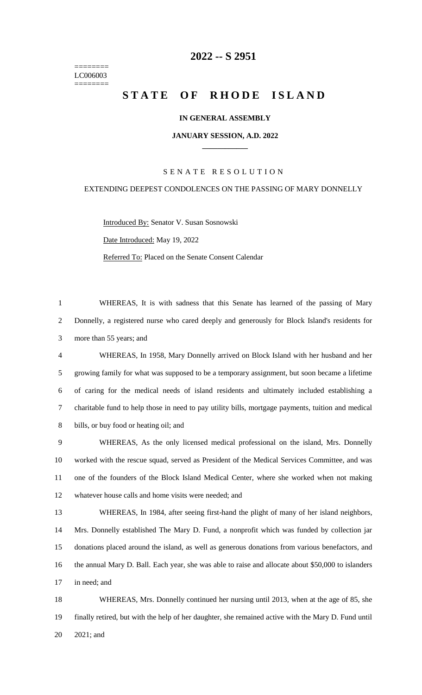======== LC006003 ========

## **-- S 2951**

# **STATE OF RHODE ISLAND**

### **IN GENERAL ASSEMBLY**

#### **JANUARY SESSION, A.D. 2022 \_\_\_\_\_\_\_\_\_\_\_\_**

#### S E N A T E R E S O L U T I O N

#### EXTENDING DEEPEST CONDOLENCES ON THE PASSING OF MARY DONNELLY

Introduced By: Senator V. Susan Sosnowski Date Introduced: May 19, 2022 Referred To: Placed on the Senate Consent Calendar

 WHEREAS, It is with sadness that this Senate has learned of the passing of Mary Donnelly, a registered nurse who cared deeply and generously for Block Island's residents for more than 55 years; and

 WHEREAS, In 1958, Mary Donnelly arrived on Block Island with her husband and her growing family for what was supposed to be a temporary assignment, but soon became a lifetime of caring for the medical needs of island residents and ultimately included establishing a charitable fund to help those in need to pay utility bills, mortgage payments, tuition and medical bills, or buy food or heating oil; and

 WHEREAS, As the only licensed medical professional on the island, Mrs. Donnelly worked with the rescue squad, served as President of the Medical Services Committee, and was one of the founders of the Block Island Medical Center, where she worked when not making whatever house calls and home visits were needed; and

 WHEREAS, In 1984, after seeing first-hand the plight of many of her island neighbors, Mrs. Donnelly established The Mary D. Fund, a nonprofit which was funded by collection jar donations placed around the island, as well as generous donations from various benefactors, and the annual Mary D. Ball. Each year, she was able to raise and allocate about \$50,000 to islanders in need; and

 WHEREAS, Mrs. Donnelly continued her nursing until 2013, when at the age of 85, she finally retired, but with the help of her daughter, she remained active with the Mary D. Fund until 2021; and